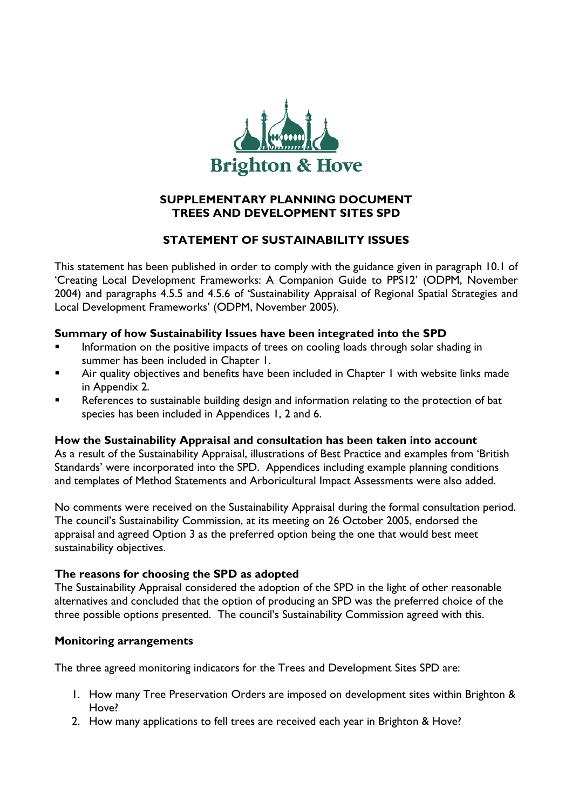

## **SUPPLEMENTARY PLANNING DOCUMENT TREES AND DEVELOPMENT SITES SPD**

# **STATEMENT OF SUSTAINABILITY ISSUES**

This statement has been published in order to comply with the guidance given in paragraph 10.1 of 'Creating Local Development Frameworks: A Companion Guide to PPS12' (ODPM, November 2004) and paragraphs 4.5.5 and 4.5.6 of 'Sustainability Appraisal of Regional Spatial Strategies and Local Development Frameworks' (ODPM, November 2005).

### **Summary of how Sustainability Issues have been integrated into the SPD**

- Information on the positive impacts of trees on cooling loads through solar shading in summer has been included in Chapter 1.
- Air quality objectives and benefits have been included in Chapter 1 with website links made in Appendix 2.
- References to sustainable building design and information relating to the protection of bat species has been included in Appendices 1, 2 and 6.

### **How the Sustainability Appraisal and consultation has been taken into account**

As a result of the Sustainability Appraisal, illustrations of Best Practice and examples from 'British Standards' were incorporated into the SPD. Appendices including example planning conditions and templates of Method Statements and Arboricultural Impact Assessments were also added.

No comments were received on the Sustainability Appraisal during the formal consultation period. The council's Sustainability Commission, at its meeting on 26 October 2005, endorsed the appraisal and agreed Option 3 as the preferred option being the one that would best meet sustainability objectives.

# **The reasons for choosing the SPD as adopted**

The Sustainability Appraisal considered the adoption of the SPD in the light of other reasonable alternatives and concluded that the option of producing an SPD was the preferred choice of the three possible options presented. The council's Sustainability Commission agreed with this.

# **Monitoring arrangements**

The three agreed monitoring indicators for the Trees and Development Sites SPD are:

- 1. How many Tree Preservation Orders are imposed on development sites within Brighton & Hove?
- 2. How many applications to fell trees are received each year in Brighton & Hove?